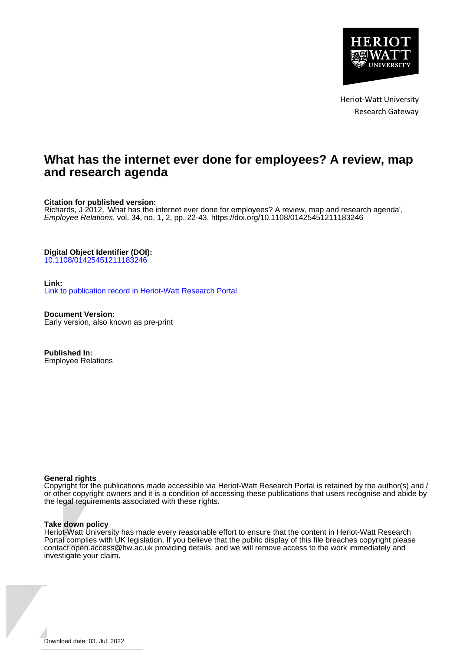

Heriot-Watt University Research Gateway

# **What has the internet ever done for employees? A review, map and research agenda**

**Citation for published version:**

Richards, J 2012, 'What has the internet ever done for employees? A review, map and research agenda', Employee Relations, vol. 34, no. 1, 2, pp. 22-43.<https://doi.org/10.1108/01425451211183246>

**Digital Object Identifier (DOI):**

[10.1108/01425451211183246](https://doi.org/10.1108/01425451211183246)

**Link:**

[Link to publication record in Heriot-Watt Research Portal](https://researchportal.hw.ac.uk/en/publications/e9072320-113f-4593-ab09-669e4b995bb0)

**Document Version:** Early version, also known as pre-print

**Published In:** Employee Relations

# **General rights**

Copyright for the publications made accessible via Heriot-Watt Research Portal is retained by the author(s) and / or other copyright owners and it is a condition of accessing these publications that users recognise and abide by the legal requirements associated with these rights.

# **Take down policy**

Heriot-Watt University has made every reasonable effort to ensure that the content in Heriot-Watt Research Portal complies with UK legislation. If you believe that the public display of this file breaches copyright please contact open.access@hw.ac.uk providing details, and we will remove access to the work immediately and investigate your claim.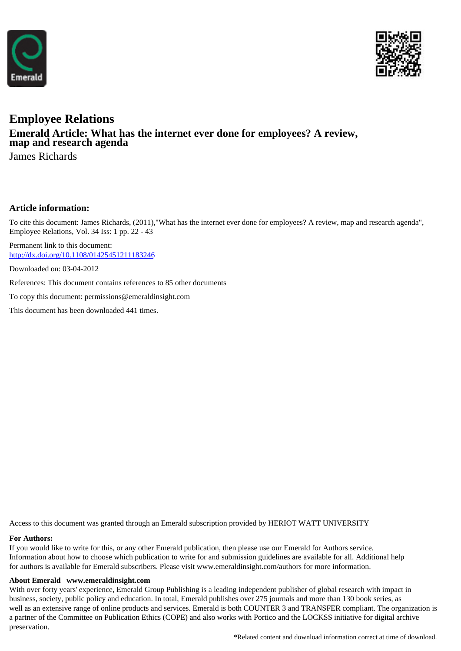



# **Employee Relations Emerald Article: What has the internet ever done for employees? A review, map and research agenda**

James Richards

# **Article information:**

To cite this document: James Richards, (2011),"What has the internet ever done for employees? A review, map and research agenda", Employee Relations, Vol. 34 Iss: 1 pp. 22 - 43

Permanent link to this document: http://dx.doi.org/10.1108/01425451211183246

Downloaded on: 03-04-2012

References: This document contains references to 85 other documents

To copy this document: permissions@emeraldinsight.com

This document has been downloaded 441 times.

Access to this document was granted through an Emerald subscription provided by HERIOT WATT UNIVERSITY

# **For Authors:**

If you would like to write for this, or any other Emerald publication, then please use our Emerald for Authors service. Information about how to choose which publication to write for and submission guidelines are available for all. Additional help for authors is available for Emerald subscribers. Please visit www.emeraldinsight.com/authors for more information.

# **About Emerald www.emeraldinsight.com**

With over forty years' experience, Emerald Group Publishing is a leading independent publisher of global research with impact in business, society, public policy and education. In total, Emerald publishes over 275 journals and more than 130 book series, as well as an extensive range of online products and services. Emerald is both COUNTER 3 and TRANSFER compliant. The organization is a partner of the Committee on Publication Ethics (COPE) and also works with Portico and the LOCKSS initiative for digital archive preservation.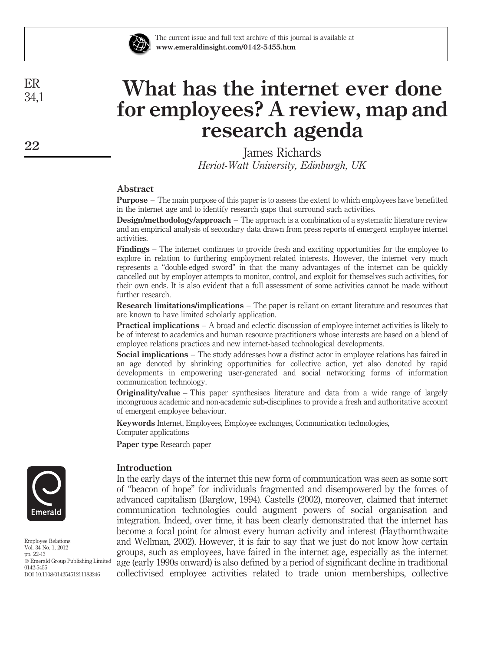

What has the internet ever done for employees? A review, map and research agenda

> James Richards Heriot-Watt University, Edinburgh, UK

#### Abstract

Purpose – The main purpose of this paper is to assess the extent to which employees have benefitted in the internet age and to identify research gaps that surround such activities.

Design/methodology/approach – The approach is a combination of a systematic literature review and an empirical analysis of secondary data drawn from press reports of emergent employee internet activities.

Findings – The internet continues to provide fresh and exciting opportunities for the employee to explore in relation to furthering employment-related interests. However, the internet very much represents a "double-edged sword" in that the many advantages of the internet can be quickly cancelled out by employer attempts to monitor, control, and exploit for themselves such activities, for their own ends. It is also evident that a full assessment of some activities cannot be made without further research.

Research limitations/implications – The paper is reliant on extant literature and resources that are known to have limited scholarly application.

Practical implications – A broad and eclectic discussion of employee internet activities is likely to be of interest to academics and human resource practitioners whose interests are based on a blend of employee relations practices and new internet-based technological developments.

Social implications – The study addresses how a distinct actor in employee relations has faired in an age denoted by shrinking opportunities for collective action, yet also denoted by rapid developments in empowering user-generated and social networking forms of information communication technology.

**Originality/value** – This paper synthesises literature and data from a wide range of largely incongruous academic and non-academic sub-disciplines to provide a fresh and authoritative account of emergent employee behaviour.

Keywords Internet, Employees, Employee exchanges, Communication technologies, Computer applications

Paper type Research paper



Introduction

In the early days of the internet this new form of communication was seen as some sort of "beacon of hope" for individuals fragmented and disempowered by the forces of advanced capitalism (Barglow, 1994). Castells (2002), moreover, claimed that internet communication technologies could augment powers of social organisation and integration. Indeed, over time, it has been clearly demonstrated that the internet has become a focal point for almost every human activity and interest (Haythornthwaite and Wellman, 2002). However, it is fair to say that we just do not know how certain groups, such as employees, have faired in the internet age, especially as the internet age (early 1990s onward) is also defined by a period of significant decline in traditional collectivised employee activities related to trade union memberships, collective



Employee Relations Vol. 34 No. 1, 2012 pp. 22-43  $\degree$  Emerald Group Publishing Limited 0142-5455 DOI 10.1108/01425451211183246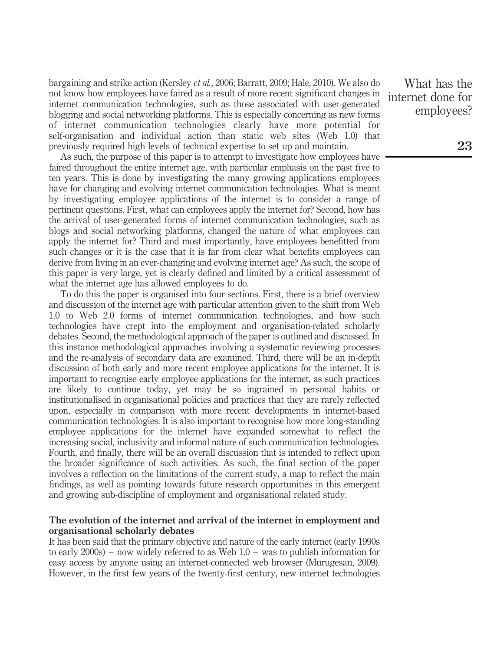bargaining and strike action (Kersley et al., 2006; Barratt, 2009; Hale, 2010). We also do not know how employees have faired as a result of more recent significant changes in internet communication technologies, such as those associated with user-generated blogging and social networking platforms. This is especially concerning as new forms of internet communication technologies clearly have more potential for self-organisation and individual action than static web sites (Web 1.0) that previously required high levels of technical expertise to set up and maintain.

As such, the purpose of this paper is to attempt to investigate how employees have faired throughout the entire internet age, with particular emphasis on the past five to ten years. This is done by investigating the many growing applications employees have for changing and evolving internet communication technologies. What is meant by investigating employee applications of the internet is to consider a range of pertinent questions. First, what can employees apply the internet for? Second, how has the arrival of user-generated forms of internet communication technologies, such as blogs and social networking platforms, changed the nature of what employees can apply the internet for? Third and most importantly, have employees benefitted from such changes or it is the case that it is far from clear what benefits employees can derive from living in an ever-changing and evolving internet age? As such, the scope of this paper is very large, yet is clearly defined and limited by a critical assessment of what the internet age has allowed employees to do.

To do this the paper is organised into four sections. First, there is a brief overview and discussion of the internet age with particular attention given to the shift from Web 1.0 to Web 2.0 forms of internet communication technologies, and how such technologies have crept into the employment and organisation-related scholarly debates. Second, the methodological approach of the paper is outlined and discussed. In this instance methodological approaches involving a systematic reviewing processes and the re-analysis of secondary data are examined. Third, there will be an in-depth discussion of both early and more recent employee applications for the internet. It is important to recognise early employee applications for the internet, as such practices are likely to continue today, yet may be so ingrained in personal habits or institutionalised in organisational policies and practices that they are rarely reflected upon, especially in comparison with more recent developments in internet-based communication technologies. It is also important to recognise how more long-standing employee applications for the internet have expanded somewhat to reflect the increasing social, inclusivity and informal nature of such communication technologies. Fourth, and finally, there will be an overall discussion that is intended to reflect upon the broader significance of such activities. As such, the final section of the paper involves a reflection on the limitations of the current study, a map to reflect the main findings, as well as pointing towards future research opportunities in this emergent and growing sub-discipline of employment and organisational related study.

# The evolution of the internet and arrival of the internet in employment and organisational scholarly debates

It has been said that the primary objective and nature of the early internet (early 1990s to early 2000s) – now widely referred to as Web 1.0 – was to publish information for easy access by anyone using an internet-connected web browser (Murugesan, 2009). However, in the first few years of the twenty-first century, new internet technologies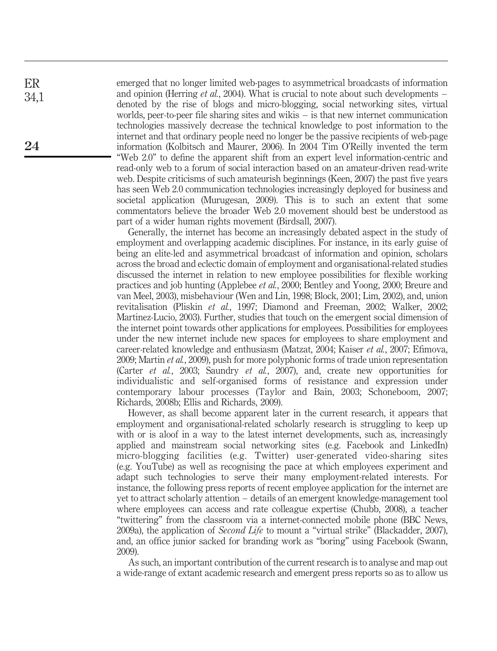emerged that no longer limited web-pages to asymmetrical broadcasts of information and opinion (Herring *et al.*, 2004). What is crucial to note about such developments – denoted by the rise of blogs and micro-blogging, social networking sites, virtual worlds, peer-to-peer file sharing sites and wikis – is that new internet communication technologies massively decrease the technical knowledge to post information to the internet and that ordinary people need no longer be the passive recipients of web-page information (Kolbitsch and Maurer, 2006). In 2004 Tim O'Reilly invented the term "Web 2.0" to define the apparent shift from an expert level information-centric and read-only web to a forum of social interaction based on an amateur-driven read-write web. Despite criticisms of such amateurish beginnings (Keen, 2007) the past five years has seen Web 2.0 communication technologies increasingly deployed for business and societal application (Murugesan, 2009). This is to such an extent that some commentators believe the broader Web 2.0 movement should best be understood as part of a wider human rights movement (Birdsall, 2007).

Generally, the internet has become an increasingly debated aspect in the study of employment and overlapping academic disciplines. For instance, in its early guise of being an elite-led and asymmetrical broadcast of information and opinion, scholars across the broad and eclectic domain of employment and organisational-related studies discussed the internet in relation to new employee possibilities for flexible working practices and job hunting (Applebee et al., 2000; Bentley and Yoong, 2000; Breure and van Meel, 2003), misbehaviour (Wen and Lin, 1998; Block, 2001; Lim, 2002), and, union revitalisation (Pliskin et al., 1997; Diamond and Freeman, 2002; Walker, 2002; Martinez-Lucio, 2003). Further, studies that touch on the emergent social dimension of the internet point towards other applications for employees. Possibilities for employees under the new internet include new spaces for employees to share employment and career-related knowledge and enthusiasm (Matzat, 2004; Kaiser et al., 2007; Efimova, 2009; Martin et al., 2009), push for more polyphonic forms of trade union representation (Carter et al., 2003; Saundry et al., 2007), and, create new opportunities for individualistic and self-organised forms of resistance and expression under contemporary labour processes (Taylor and Bain, 2003; Schoneboom, 2007; Richards, 2008b; Ellis and Richards, 2009).

However, as shall become apparent later in the current research, it appears that employment and organisational-related scholarly research is struggling to keep up with or is aloof in a way to the latest internet developments, such as, increasingly applied and mainstream social networking sites (e.g. Facebook and LinkedIn) micro-blogging facilities (e.g. Twitter) user-generated video-sharing sites (e.g. YouTube) as well as recognising the pace at which employees experiment and adapt such technologies to serve their many employment-related interests. For instance, the following press reports of recent employee application for the internet are yet to attract scholarly attention – details of an emergent knowledge-management tool where employees can access and rate colleague expertise (Chubb, 2008), a teacher "twittering" from the classroom via a internet-connected mobile phone (BBC News, 2009a), the application of Second Life to mount a "virtual strike" (Blackadder, 2007), and, an office junior sacked for branding work as "boring" using Facebook (Swann, 2009).

As such, an important contribution of the current research is to analyse and map out a wide-range of extant academic research and emergent press reports so as to allow us

24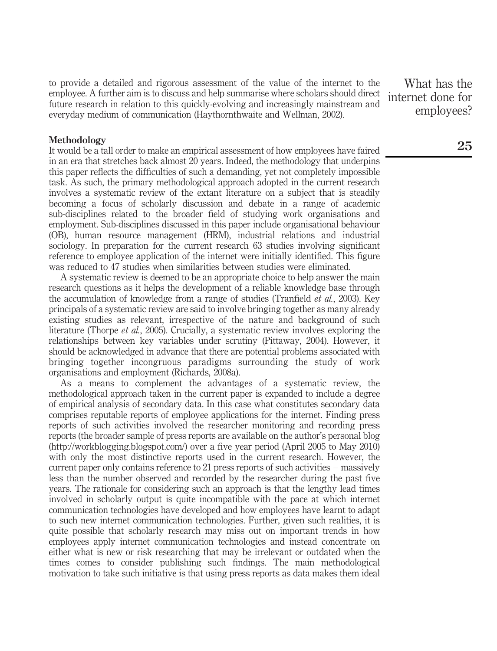to provide a detailed and rigorous assessment of the value of the internet to the employee. A further aim is to discuss and help summarise where scholars should direct future research in relation to this quickly-evolving and increasingly mainstream and everyday medium of communication (Haythornthwaite and Wellman, 2002).

### Methodology

It would be a tall order to make an empirical assessment of how employees have faired in an era that stretches back almost 20 years. Indeed, the methodology that underpins this paper reflects the difficulties of such a demanding, yet not completely impossible task. As such, the primary methodological approach adopted in the current research involves a systematic review of the extant literature on a subject that is steadily becoming a focus of scholarly discussion and debate in a range of academic sub-disciplines related to the broader field of studying work organisations and employment. Sub-disciplines discussed in this paper include organisational behaviour (OB), human resource management (HRM), industrial relations and industrial sociology. In preparation for the current research 63 studies involving significant reference to employee application of the internet were initially identified. This figure was reduced to 47 studies when similarities between studies were eliminated.

A systematic review is deemed to be an appropriate choice to help answer the main research questions as it helps the development of a reliable knowledge base through the accumulation of knowledge from a range of studies (Tranfield *et al.*, 2003). Key principals of a systematic review are said to involve bringing together as many already existing studies as relevant, irrespective of the nature and background of such literature (Thorpe et al., 2005). Crucially, a systematic review involves exploring the relationships between key variables under scrutiny (Pittaway, 2004). However, it should be acknowledged in advance that there are potential problems associated with bringing together incongruous paradigms surrounding the study of work organisations and employment (Richards, 2008a).

As a means to complement the advantages of a systematic review, the methodological approach taken in the current paper is expanded to include a degree of empirical analysis of secondary data. In this case what constitutes secondary data comprises reputable reports of employee applications for the internet. Finding press reports of such activities involved the researcher monitoring and recording press reports (the broader sample of press reports are available on the author's personal blog (http://workblogging.blogspot.com/) over a five year period (April 2005 to May 2010) with only the most distinctive reports used in the current research. However, the current paper only contains reference to 21 press reports of such activities – massively less than the number observed and recorded by the researcher during the past five years. The rationale for considering such an approach is that the lengthy lead times involved in scholarly output is quite incompatible with the pace at which internet communication technologies have developed and how employees have learnt to adapt to such new internet communication technologies. Further, given such realities, it is quite possible that scholarly research may miss out on important trends in how employees apply internet communication technologies and instead concentrate on either what is new or risk researching that may be irrelevant or outdated when the times comes to consider publishing such findings. The main methodological motivation to take such initiative is that using press reports as data makes them ideal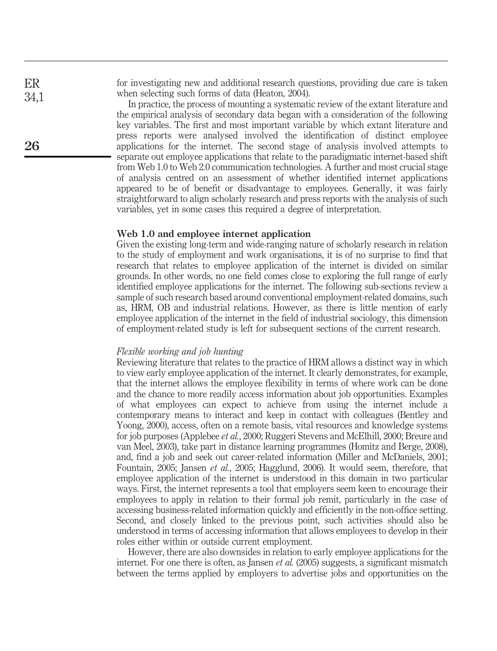for investigating new and additional research questions, providing due care is taken when selecting such forms of data (Heaton, 2004).

In practice, the process of mounting a systematic review of the extant literature and the empirical analysis of secondary data began with a consideration of the following key variables. The first and most important variable by which extant literature and press reports were analysed involved the identification of distinct employee applications for the internet. The second stage of analysis involved attempts to separate out employee applications that relate to the paradigmatic internet-based shift from Web 1.0 to Web 2.0 communication technologies. A further and most crucial stage of analysis centred on an assessment of whether identified internet applications appeared to be of benefit or disadvantage to employees. Generally, it was fairly straightforward to align scholarly research and press reports with the analysis of such variables, yet in some cases this required a degree of interpretation.

### Web 1.0 and employee internet application

Given the existing long-term and wide-ranging nature of scholarly research in relation to the study of employment and work organisations, it is of no surprise to find that research that relates to employee application of the internet is divided on similar grounds. In other words, no one field comes close to exploring the full range of early identified employee applications for the internet. The following sub-sections review a sample of such research based around conventional employment-related domains, such as, HRM, OB and industrial relations. However, as there is little mention of early employee application of the internet in the field of industrial sociology, this dimension of employment-related study is left for subsequent sections of the current research.

#### Flexible working and job hunting

Reviewing literature that relates to the practice of HRM allows a distinct way in which to view early employee application of the internet. It clearly demonstrates, for example, that the internet allows the employee flexibility in terms of where work can be done and the chance to more readily access information about job opportunities. Examples of what employees can expect to achieve from using the internet include a contemporary means to interact and keep in contact with colleagues (Bentley and Yoong, 2000), access, often on a remote basis, vital resources and knowledge systems for job purposes (Applebee et al., 2000; Ruggeri Stevens and McElhill, 2000; Breure and van Meel, 2003), take part in distance learning programmes (Homitz and Berge, 2008), and, find a job and seek out career-related information (Miller and McDaniels, 2001; Fountain, 2005; Jansen et al., 2005; Hagglund, 2006). It would seem, therefore, that employee application of the internet is understood in this domain in two particular ways. First, the internet represents a tool that employers seem keen to encourage their employees to apply in relation to their formal job remit, particularly in the case of accessing business-related information quickly and efficiently in the non-office setting. Second, and closely linked to the previous point, such activities should also be understood in terms of accessing information that allows employees to develop in their roles either within or outside current employment.

However, there are also downsides in relation to early employee applications for the internet. For one there is often, as Jansen *et al.* (2005) suggests, a significant mismatch between the terms applied by employers to advertise jobs and opportunities on the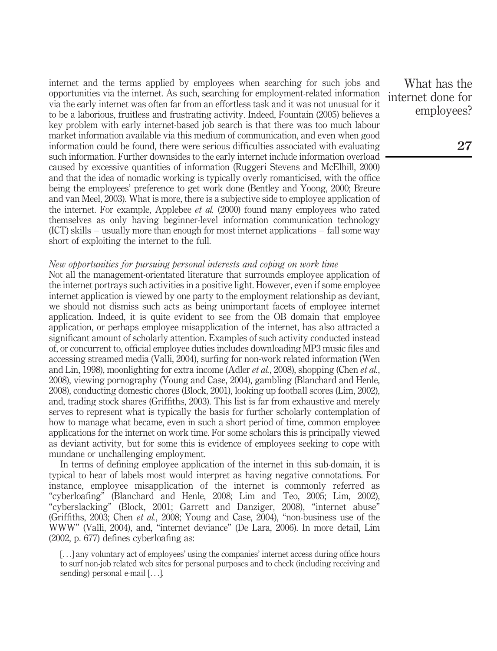internet and the terms applied by employees when searching for such jobs and opportunities via the internet. As such, searching for employment-related information via the early internet was often far from an effortless task and it was not unusual for it to be a laborious, fruitless and frustrating activity. Indeed, Fountain (2005) believes a key problem with early internet-based job search is that there was too much labour market information available via this medium of communication, and even when good information could be found, there were serious difficulties associated with evaluating such information. Further downsides to the early internet include information overload caused by excessive quantities of information (Ruggeri Stevens and McElhill, 2000) and that the idea of nomadic working is typically overly romanticised, with the office being the employees' preference to get work done (Bentley and Yoong, 2000; Breure and van Meel, 2003). What is more, there is a subjective side to employee application of the internet. For example, Applebee et al. (2000) found many employees who rated themselves as only having beginner-level information communication technology (ICT) skills – usually more than enough for most internet applications – fall some way short of exploiting the internet to the full.

#### New opportunities for pursuing personal interests and coping on work time

Not all the management-orientated literature that surrounds employee application of the internet portrays such activities in a positive light. However, even if some employee internet application is viewed by one party to the employment relationship as deviant, we should not dismiss such acts as being unimportant facets of employee internet application. Indeed, it is quite evident to see from the OB domain that employee application, or perhaps employee misapplication of the internet, has also attracted a significant amount of scholarly attention. Examples of such activity conducted instead of, or concurrent to, official employee duties includes downloading MP3 music files and accessing streamed media (Valli, 2004), surfing for non-work related information (Wen and Lin, 1998), moonlighting for extra income (Adler *et al.*, 2008), shopping (Chen *et al.*, 2008), viewing pornography (Young and Case, 2004), gambling (Blanchard and Henle, 2008), conducting domestic chores (Block, 2001), looking up football scores (Lim, 2002), and, trading stock shares (Griffiths, 2003). This list is far from exhaustive and merely serves to represent what is typically the basis for further scholarly contemplation of how to manage what became, even in such a short period of time, common employee applications for the internet on work time. For some scholars this is principally viewed as deviant activity, but for some this is evidence of employees seeking to cope with mundane or unchallenging employment.

In terms of defining employee application of the internet in this sub-domain, it is typical to hear of labels most would interpret as having negative connotations. For instance, employee misapplication of the internet is commonly referred as "cyberloafing" (Blanchard and Henle, 2008; Lim and Teo, 2005; Lim, 2002), "cyberslacking" (Block, 2001; Garrett and Danziger, 2008), "internet abuse" (Griffiths, 2003; Chen et al., 2008; Young and Case, 2004), "non-business use of the WWW" (Valli, 2004), and, "internet deviance" (De Lara, 2006). In more detail, Lim (2002, p. 677) defines cyberloafing as:

[...] any voluntary act of employees' using the companies' internet access during office hours to surf non-job related web sites for personal purposes and to check (including receiving and sending) personal e-mail [...].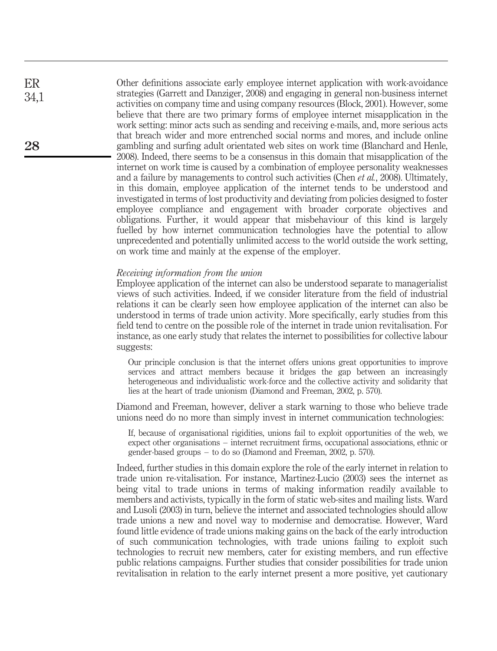Other definitions associate early employee internet application with work-avoidance strategies (Garrett and Danziger, 2008) and engaging in general non-business internet activities on company time and using company resources (Block, 2001). However, some believe that there are two primary forms of employee internet misapplication in the work setting: minor acts such as sending and receiving e-mails, and, more serious acts that breach wider and more entrenched social norms and mores, and include online gambling and surfing adult orientated web sites on work time (Blanchard and Henle, 2008). Indeed, there seems to be a consensus in this domain that misapplication of the internet on work time is caused by a combination of employee personality weaknesses and a failure by managements to control such activities (Chen et al., 2008). Ultimately, in this domain, employee application of the internet tends to be understood and investigated in terms of lost productivity and deviating from policies designed to foster employee compliance and engagement with broader corporate objectives and obligations. Further, it would appear that misbehaviour of this kind is largely fuelled by how internet communication technologies have the potential to allow unprecedented and potentially unlimited access to the world outside the work setting, on work time and mainly at the expense of the employer.

#### Receiving information from the union

Employee application of the internet can also be understood separate to managerialist views of such activities. Indeed, if we consider literature from the field of industrial relations it can be clearly seen how employee application of the internet can also be understood in terms of trade union activity. More specifically, early studies from this field tend to centre on the possible role of the internet in trade union revitalisation. For instance, as one early study that relates the internet to possibilities for collective labour suggests:

Our principle conclusion is that the internet offers unions great opportunities to improve services and attract members because it bridges the gap between an increasingly heterogeneous and individualistic work-force and the collective activity and solidarity that lies at the heart of trade unionism (Diamond and Freeman, 2002, p. 570).

Diamond and Freeman, however, deliver a stark warning to those who believe trade unions need do no more than simply invest in internet communication technologies:

If, because of organisational rigidities, unions fail to exploit opportunities of the web, we expect other organisations – internet recruitment firms, occupational associations, ethnic or gender-based groups – to do so (Diamond and Freeman, 2002, p. 570).

Indeed, further studies in this domain explore the role of the early internet in relation to trade union re-vitalisation. For instance, Martinez-Lucio (2003) sees the internet as being vital to trade unions in terms of making information readily available to members and activists, typically in the form of static web-sites and mailing lists. Ward and Lusoli (2003) in turn, believe the internet and associated technologies should allow trade unions a new and novel way to modernise and democratise. However, Ward found little evidence of trade unions making gains on the back of the early introduction of such communication technologies, with trade unions failing to exploit such technologies to recruit new members, cater for existing members, and run effective public relations campaigns. Further studies that consider possibilities for trade union revitalisation in relation to the early internet present a more positive, yet cautionary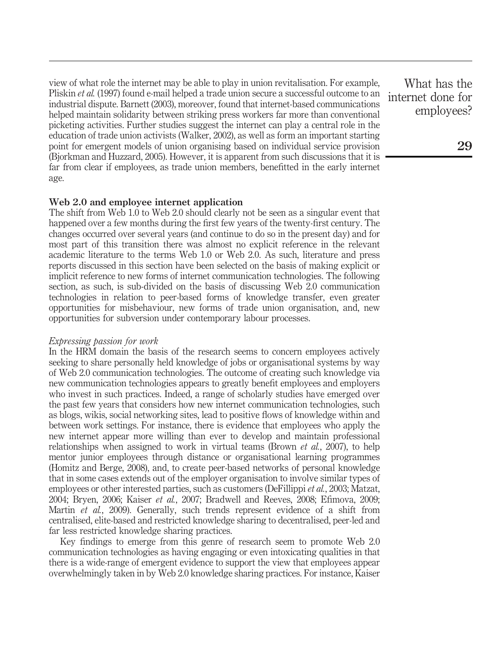view of what role the internet may be able to play in union revitalisation. For example, Pliskin et al. (1997) found e-mail helped a trade union secure a successful outcome to an industrial dispute. Barnett (2003), moreover, found that internet-based communications helped maintain solidarity between striking press workers far more than conventional picketing activities. Further studies suggest the internet can play a central role in the education of trade union activists (Walker, 2002), as well as form an important starting point for emergent models of union organising based on individual service provision (Bjorkman and Huzzard, 2005). However, it is apparent from such discussions that it is far from clear if employees, as trade union members, benefitted in the early internet age.

# Web 2.0 and employee internet application

The shift from Web 1.0 to Web 2.0 should clearly not be seen as a singular event that happened over a few months during the first few years of the twenty-first century. The changes occurred over several years (and continue to do so in the present day) and for most part of this transition there was almost no explicit reference in the relevant academic literature to the terms Web 1.0 or Web 2.0. As such, literature and press reports discussed in this section have been selected on the basis of making explicit or implicit reference to new forms of internet communication technologies. The following section, as such, is sub-divided on the basis of discussing Web 2.0 communication technologies in relation to peer-based forms of knowledge transfer, even greater opportunities for misbehaviour, new forms of trade union organisation, and, new opportunities for subversion under contemporary labour processes.

# Expressing passion for work

In the HRM domain the basis of the research seems to concern employees actively seeking to share personally held knowledge of jobs or organisational systems by way of Web 2.0 communication technologies. The outcome of creating such knowledge via new communication technologies appears to greatly benefit employees and employers who invest in such practices. Indeed, a range of scholarly studies have emerged over the past few years that considers how new internet communication technologies, such as blogs, wikis, social networking sites, lead to positive flows of knowledge within and between work settings. For instance, there is evidence that employees who apply the new internet appear more willing than ever to develop and maintain professional relationships when assigned to work in virtual teams (Brown *et al.*, 2007), to help mentor junior employees through distance or organisational learning programmes (Homitz and Berge, 2008), and, to create peer-based networks of personal knowledge that in some cases extends out of the employer organisation to involve similar types of employees or other interested parties, such as customers (DeFillippi et al., 2003; Matzat, 2004; Bryen, 2006; Kaiser et al., 2007; Bradwell and Reeves, 2008; Efimova, 2009; Martin et al., 2009). Generally, such trends represent evidence of a shift from centralised, elite-based and restricted knowledge sharing to decentralised, peer-led and far less restricted knowledge sharing practices.

Key findings to emerge from this genre of research seem to promote Web 2.0 communication technologies as having engaging or even intoxicating qualities in that there is a wide-range of emergent evidence to support the view that employees appear overwhelmingly taken in by Web 2.0 knowledge sharing practices. For instance, Kaiser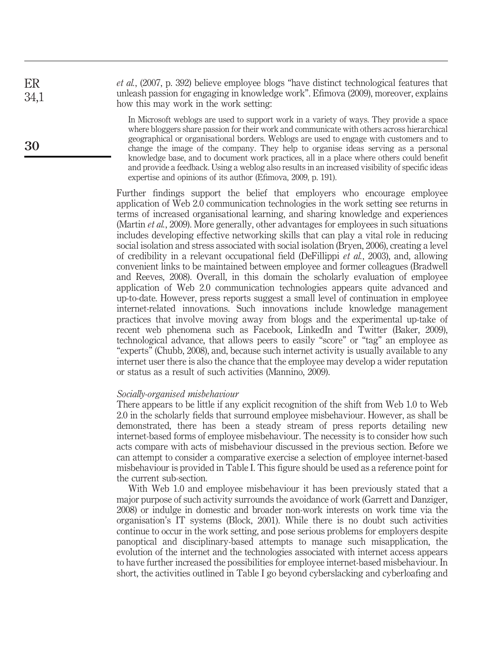et al., (2007, p. 392) believe employee blogs "have distinct technological features that unleash passion for engaging in knowledge work". Efimova (2009), moreover, explains how this may work in the work setting:

In Microsoft weblogs are used to support work in a variety of ways. They provide a space where bloggers share passion for their work and communicate with others across hierarchical geographical or organisational borders. Weblogs are used to engage with customers and to change the image of the company. They help to organise ideas serving as a personal knowledge base, and to document work practices, all in a place where others could benefit and provide a feedback. Using a weblog also results in an increased visibility of specific ideas expertise and opinions of its author (Efimova, 2009, p. 191).

Further findings support the belief that employers who encourage employee application of Web 2.0 communication technologies in the work setting see returns in terms of increased organisational learning, and sharing knowledge and experiences (Martin *et al.*, 2009). More generally, other advantages for employees in such situations includes developing effective networking skills that can play a vital role in reducing social isolation and stress associated with social isolation (Bryen, 2006), creating a level of credibility in a relevant occupational field (DeFillippi *et al.*, 2003), and, allowing convenient links to be maintained between employee and former colleagues (Bradwell and Reeves, 2008). Overall, in this domain the scholarly evaluation of employee application of Web 2.0 communication technologies appears quite advanced and up-to-date. However, press reports suggest a small level of continuation in employee internet-related innovations. Such innovations include knowledge management practices that involve moving away from blogs and the experimental up-take of recent web phenomena such as Facebook, LinkedIn and Twitter (Baker, 2009), technological advance, that allows peers to easily "score" or "tag" an employee as "experts" (Chubb, 2008), and, because such internet activity is usually available to any internet user there is also the chance that the employee may develop a wider reputation or status as a result of such activities (Mannino, 2009).

#### Socially-organised misbehaviour

There appears to be little if any explicit recognition of the shift from Web 1.0 to Web 2.0 in the scholarly fields that surround employee misbehaviour. However, as shall be demonstrated, there has been a steady stream of press reports detailing new internet-based forms of employee misbehaviour. The necessity is to consider how such acts compare with acts of misbehaviour discussed in the previous section. Before we can attempt to consider a comparative exercise a selection of employee internet-based misbehaviour is provided in Table I. This figure should be used as a reference point for the current sub-section.

With Web 1.0 and employee misbehaviour it has been previously stated that a major purpose of such activity surrounds the avoidance of work (Garrett and Danziger, 2008) or indulge in domestic and broader non-work interests on work time via the organisation's IT systems (Block, 2001). While there is no doubt such activities continue to occur in the work setting, and pose serious problems for employers despite panoptical and disciplinary-based attempts to manage such misapplication, the evolution of the internet and the technologies associated with internet access appears to have further increased the possibilities for employee internet-based misbehaviour. In short, the activities outlined in Table I go beyond cyberslacking and cyberloafing and

30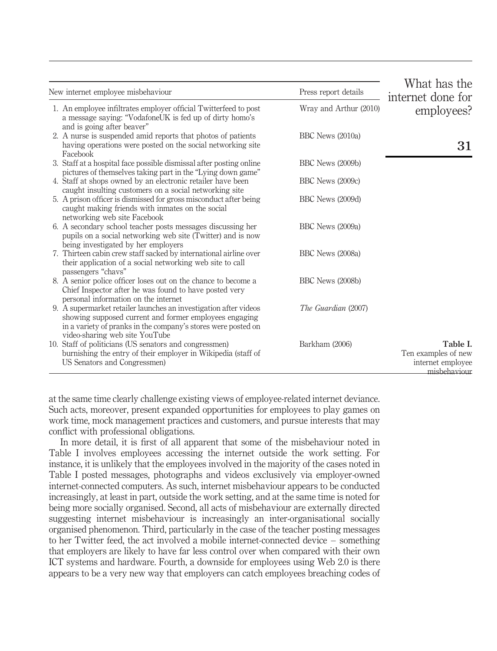| New internet employee misbehaviour<br>Press report details |                                                                                                                                                                                                                               |                        | What has the<br>internet done for                                    |
|------------------------------------------------------------|-------------------------------------------------------------------------------------------------------------------------------------------------------------------------------------------------------------------------------|------------------------|----------------------------------------------------------------------|
|                                                            | 1. An employee infiltrates employer official Twitterfeed to post<br>a message saying: "VodafoneUK is fed up of dirty homo's                                                                                                   | Wray and Arthur (2010) | employees?                                                           |
|                                                            | and is going after beaver"<br>2. A nurse is suspended amid reports that photos of patients<br>having operations were posted on the social networking site<br>Facebook                                                         | BBC News (2010a)       | 31                                                                   |
|                                                            | 3. Staff at a hospital face possible dismissal after posting online<br>pictures of themselves taking part in the "Lying down game"                                                                                            | BBC News (2009b)       |                                                                      |
|                                                            | 4. Staff at shops owned by an electronic retailer have been<br>caught insulting customers on a social networking site                                                                                                         | BBC News (2009c)       |                                                                      |
|                                                            | 5. A prison officer is dismissed for gross misconduct after being<br>caught making friends with inmates on the social<br>networking web site Facebook                                                                         | BBC News (2009d)       |                                                                      |
|                                                            | 6. A secondary school teacher posts messages discussing her<br>pupils on a social networking web site (Twitter) and is now<br>being investigated by her employers                                                             | BBC News (2009a)       |                                                                      |
|                                                            | 7. Thirteen cabin crew staff sacked by international airline over<br>their application of a social networking web site to call<br>passengers "chavs"                                                                          | BBC News (2008a)       |                                                                      |
|                                                            | 8. A senior police officer loses out on the chance to become a<br>Chief Inspector after he was found to have posted very<br>personal information on the internet                                                              | BBC News (2008b)       |                                                                      |
|                                                            | 9. A supermarket retailer launches an investigation after videos<br>showing supposed current and former employees engaging<br>in a variety of pranks in the company's stores were posted on<br>video-sharing web site YouTube | The Guardian (2007)    |                                                                      |
|                                                            | 10. Staff of politicians (US senators and congressmen)<br>burnishing the entry of their employer in Wikipedia (staff of<br>US Senators and Congressmen)                                                                       | Barkham (2006)         | Table I.<br>Ten examples of new<br>internet employee<br>mishehaviour |

at the same time clearly challenge existing views of employee-related internet deviance. Such acts, moreover, present expanded opportunities for employees to play games on work time, mock management practices and customers, and pursue interests that may conflict with professional obligations.

In more detail, it is first of all apparent that some of the misbehaviour noted in Table I involves employees accessing the internet outside the work setting. For instance, it is unlikely that the employees involved in the majority of the cases noted in Table I posted messages, photographs and videos exclusively via employer-owned internet-connected computers. As such, internet misbehaviour appears to be conducted increasingly, at least in part, outside the work setting, and at the same time is noted for being more socially organised. Second, all acts of misbehaviour are externally directed suggesting internet misbehaviour is increasingly an inter-organisational socially organised phenomenon. Third, particularly in the case of the teacher posting messages to her Twitter feed, the act involved a mobile internet-connected device – something that employers are likely to have far less control over when compared with their own ICT systems and hardware. Fourth, a downside for employees using Web 2.0 is there appears to be a very new way that employers can catch employees breaching codes of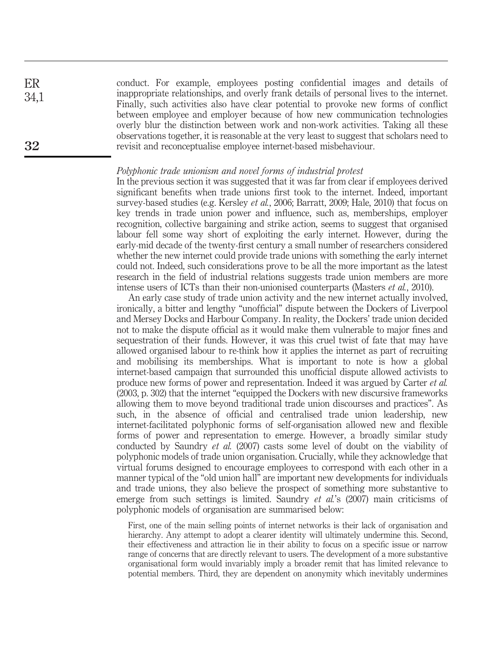conduct. For example, employees posting confidential images and details of inappropriate relationships, and overly frank details of personal lives to the internet. Finally, such activities also have clear potential to provoke new forms of conflict between employee and employer because of how new communication technologies overly blur the distinction between work and non-work activities. Taking all these observations together, it is reasonable at the very least to suggest that scholars need to revisit and reconceptualise employee internet-based misbehaviour.

#### Polyphonic trade unionism and novel forms of industrial protest

In the previous section it was suggested that it was far from clear if employees derived significant benefits when trade unions first took to the internet. Indeed, important survey-based studies (e.g. Kersley et al., 2006; Barratt, 2009; Hale, 2010) that focus on key trends in trade union power and influence, such as, memberships, employer recognition, collective bargaining and strike action, seems to suggest that organised labour fell some way short of exploiting the early internet. However, during the early-mid decade of the twenty-first century a small number of researchers considered whether the new internet could provide trade unions with something the early internet could not. Indeed, such considerations prove to be all the more important as the latest research in the field of industrial relations suggests trade union members are more intense users of ICTs than their non-unionised counterparts (Masters et al., 2010).

An early case study of trade union activity and the new internet actually involved, ironically, a bitter and lengthy "unofficial" dispute between the Dockers of Liverpool and Mersey Docks and Harbour Company. In reality, the Dockers' trade union decided not to make the dispute official as it would make them vulnerable to major fines and sequestration of their funds. However, it was this cruel twist of fate that may have allowed organised labour to re-think how it applies the internet as part of recruiting and mobilising its memberships. What is important to note is how a global internet-based campaign that surrounded this unofficial dispute allowed activists to produce new forms of power and representation. Indeed it was argued by Carter et al. (2003, p. 302) that the internet "equipped the Dockers with new discursive frameworks allowing them to move beyond traditional trade union discourses and practices". As such, in the absence of official and centralised trade union leadership, new internet-facilitated polyphonic forms of self-organisation allowed new and flexible forms of power and representation to emerge. However, a broadly similar study conducted by Saundry et al. (2007) casts some level of doubt on the viability of polyphonic models of trade union organisation. Crucially, while they acknowledge that virtual forums designed to encourage employees to correspond with each other in a manner typical of the "old union hall" are important new developments for individuals and trade unions, they also believe the prospect of something more substantive to emerge from such settings is limited. Saundry *et al.*'s (2007) main criticisms of polyphonic models of organisation are summarised below:

First, one of the main selling points of internet networks is their lack of organisation and hierarchy. Any attempt to adopt a clearer identity will ultimately undermine this. Second, their effectiveness and attraction lie in their ability to focus on a specific issue or narrow range of concerns that are directly relevant to users. The development of a more substantive organisational form would invariably imply a broader remit that has limited relevance to potential members. Third, they are dependent on anonymity which inevitably undermines

32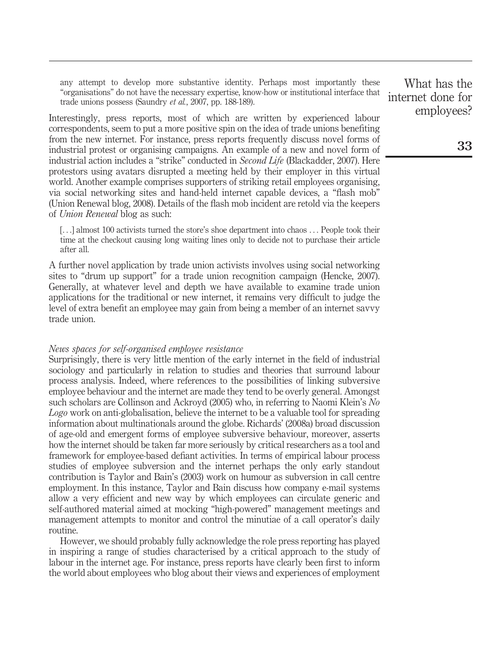any attempt to develop more substantive identity. Perhaps most importantly these "organisations" do not have the necessary expertise, know-how or institutional interface that trade unions possess (Saundry et al., 2007, pp. 188-189).

Interestingly, press reports, most of which are written by experienced labour correspondents, seem to put a more positive spin on the idea of trade unions benefiting from the new internet. For instance, press reports frequently discuss novel forms of industrial protest or organising campaigns. An example of a new and novel form of industrial action includes a "strike" conducted in Second Life (Blackadder, 2007). Here protestors using avatars disrupted a meeting held by their employer in this virtual world. Another example comprises supporters of striking retail employees organising, via social networking sites and hand-held internet capable devices, a "flash mob" (Union Renewal blog, 2008). Details of the flash mob incident are retold via the keepers of Union Renewal blog as such:

[...] almost 100 activists turned the store's shoe department into chaos ... People took their time at the checkout causing long waiting lines only to decide not to purchase their article after all.

A further novel application by trade union activists involves using social networking sites to "drum up support" for a trade union recognition campaign (Hencke, 2007). Generally, at whatever level and depth we have available to examine trade union applications for the traditional or new internet, it remains very difficult to judge the level of extra benefit an employee may gain from being a member of an internet savvy trade union.

#### News spaces for self-organised employee resistance

Surprisingly, there is very little mention of the early internet in the field of industrial sociology and particularly in relation to studies and theories that surround labour process analysis. Indeed, where references to the possibilities of linking subversive employee behaviour and the internet are made they tend to be overly general. Amongst such scholars are Collinson and Ackroyd (2005) who, in referring to Naomi Klein's No Logo work on anti-globalisation, believe the internet to be a valuable tool for spreading information about multinationals around the globe. Richards' (2008a) broad discussion of age-old and emergent forms of employee subversive behaviour, moreover, asserts how the internet should be taken far more seriously by critical researchers as a tool and framework for employee-based defiant activities. In terms of empirical labour process studies of employee subversion and the internet perhaps the only early standout contribution is Taylor and Bain's (2003) work on humour as subversion in call centre employment. In this instance, Taylor and Bain discuss how company e-mail systems allow a very efficient and new way by which employees can circulate generic and self-authored material aimed at mocking "high-powered" management meetings and management attempts to monitor and control the minutiae of a call operator's daily routine.

However, we should probably fully acknowledge the role press reporting has played in inspiring a range of studies characterised by a critical approach to the study of labour in the internet age. For instance, press reports have clearly been first to inform the world about employees who blog about their views and experiences of employment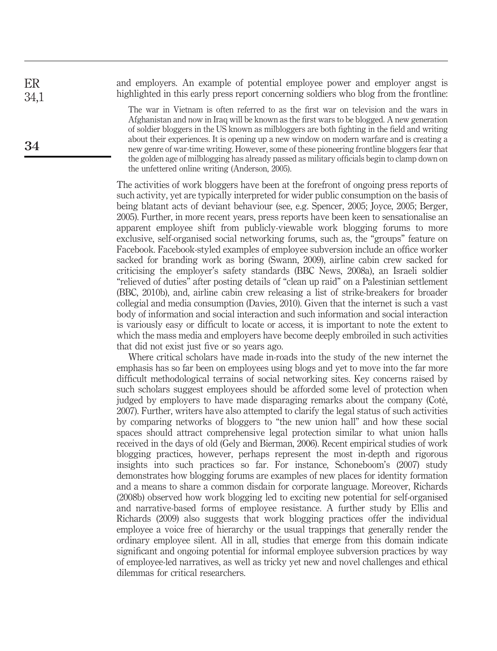and employers. An example of potential employee power and employer angst is highlighted in this early press report concerning soldiers who blog from the frontline:

The war in Vietnam is often referred to as the first war on television and the wars in Afghanistan and now in Iraq will be known as the first wars to be blogged. A new generation of soldier bloggers in the US known as milbloggers are both fighting in the field and writing about their experiences. It is opening up a new window on modern warfare and is creating a new genre of war-time writing. However, some of these pioneering frontline bloggers fear that the golden age of milblogging has already passed as military officials begin to clamp down on the unfettered online writing (Anderson, 2005).

The activities of work bloggers have been at the forefront of ongoing press reports of such activity, yet are typically interpreted for wider public consumption on the basis of being blatant acts of deviant behaviour (see, e.g. Spencer, 2005; Joyce, 2005; Berger, 2005). Further, in more recent years, press reports have been keen to sensationalise an apparent employee shift from publicly-viewable work blogging forums to more exclusive, self-organised social networking forums, such as, the "groups" feature on Facebook. Facebook-styled examples of employee subversion include an office worker sacked for branding work as boring (Swann, 2009), airline cabin crew sacked for criticising the employer's safety standards (BBC News, 2008a), an Israeli soldier "relieved of duties" after posting details of "clean up raid" on a Palestinian settlement (BBC, 2010b), and, airline cabin crew releasing a list of strike-breakers for broader collegial and media consumption (Davies, 2010). Given that the internet is such a vast body of information and social interaction and such information and social interaction is variously easy or difficult to locate or access, it is important to note the extent to which the mass media and employers have become deeply embroiled in such activities that did not exist just five or so years ago.

Where critical scholars have made in-roads into the study of the new internet the emphasis has so far been on employees using blogs and yet to move into the far more difficult methodological terrains of social networking sites. Key concerns raised by such scholars suggest employees should be afforded some level of protection when judged by employers to have made disparaging remarks about the company (Coté, 2007). Further, writers have also attempted to clarify the legal status of such activities by comparing networks of bloggers to "the new union hall" and how these social spaces should attract comprehensive legal protection similar to what union halls received in the days of old (Gely and Bierman, 2006). Recent empirical studies of work blogging practices, however, perhaps represent the most in-depth and rigorous insights into such practices so far. For instance, Schoneboom's (2007) study demonstrates how blogging forums are examples of new places for identity formation and a means to share a common disdain for corporate language. Moreover, Richards (2008b) observed how work blogging led to exciting new potential for self-organised and narrative-based forms of employee resistance. A further study by Ellis and Richards (2009) also suggests that work blogging practices offer the individual employee a voice free of hierarchy or the usual trappings that generally render the ordinary employee silent. All in all, studies that emerge from this domain indicate significant and ongoing potential for informal employee subversion practices by way of employee-led narratives, as well as tricky yet new and novel challenges and ethical dilemmas for critical researchers.

34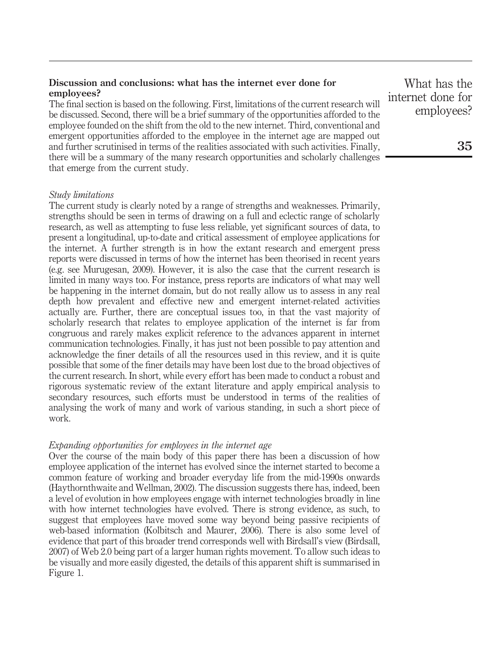# Discussion and conclusions: what has the internet ever done for employees?

The final section is based on the following. First, limitations of the current research will be discussed. Second, there will be a brief summary of the opportunities afforded to the employee founded on the shift from the old to the new internet. Third, conventional and emergent opportunities afforded to the employee in the internet age are mapped out and further scrutinised in terms of the realities associated with such activities. Finally, there will be a summary of the many research opportunities and scholarly challenges that emerge from the current study.

# Study limitations

The current study is clearly noted by a range of strengths and weaknesses. Primarily, strengths should be seen in terms of drawing on a full and eclectic range of scholarly research, as well as attempting to fuse less reliable, yet significant sources of data, to present a longitudinal, up-to-date and critical assessment of employee applications for the internet. A further strength is in how the extant research and emergent press reports were discussed in terms of how the internet has been theorised in recent years (e.g. see Murugesan, 2009). However, it is also the case that the current research is limited in many ways too. For instance, press reports are indicators of what may well be happening in the internet domain, but do not really allow us to assess in any real depth how prevalent and effective new and emergent internet-related activities actually are. Further, there are conceptual issues too, in that the vast majority of scholarly research that relates to employee application of the internet is far from congruous and rarely makes explicit reference to the advances apparent in internet communication technologies. Finally, it has just not been possible to pay attention and acknowledge the finer details of all the resources used in this review, and it is quite possible that some of the finer details may have been lost due to the broad objectives of the current research. In short, while every effort has been made to conduct a robust and rigorous systematic review of the extant literature and apply empirical analysis to secondary resources, such efforts must be understood in terms of the realities of analysing the work of many and work of various standing, in such a short piece of work.

# Expanding opportunities for employees in the internet age

Over the course of the main body of this paper there has been a discussion of how employee application of the internet has evolved since the internet started to become a common feature of working and broader everyday life from the mid-1990s onwards (Haythornthwaite and Wellman, 2002). The discussion suggests there has, indeed, been a level of evolution in how employees engage with internet technologies broadly in line with how internet technologies have evolved. There is strong evidence, as such, to suggest that employees have moved some way beyond being passive recipients of web-based information (Kolbitsch and Maurer, 2006). There is also some level of evidence that part of this broader trend corresponds well with Birdsall's view (Birdsall, 2007) of Web 2.0 being part of a larger human rights movement. To allow such ideas to be visually and more easily digested, the details of this apparent shift is summarised in Figure 1.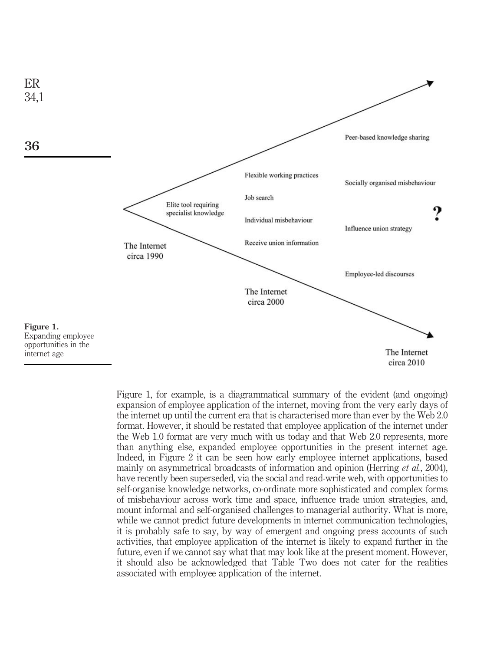

Figure 1, for example, is a diagrammatical summary of the evident (and ongoing) expansion of employee application of the internet, moving from the very early days of the internet up until the current era that is characterised more than ever by the Web 2.0 format. However, it should be restated that employee application of the internet under the Web 1.0 format are very much with us today and that Web 2.0 represents, more than anything else, expanded employee opportunities in the present internet age. Indeed, in Figure 2 it can be seen how early employee internet applications, based mainly on asymmetrical broadcasts of information and opinion (Herring et al., 2004), have recently been superseded, via the social and read-write web, with opportunities to self-organise knowledge networks, co-ordinate more sophisticated and complex forms of misbehaviour across work time and space, influence trade union strategies, and, mount informal and self-organised challenges to managerial authority. What is more, while we cannot predict future developments in internet communication technologies, it is probably safe to say, by way of emergent and ongoing press accounts of such activities, that employee application of the internet is likely to expand further in the future, even if we cannot say what that may look like at the present moment. However, it should also be acknowledged that Table Two does not cater for the realities associated with employee application of the internet.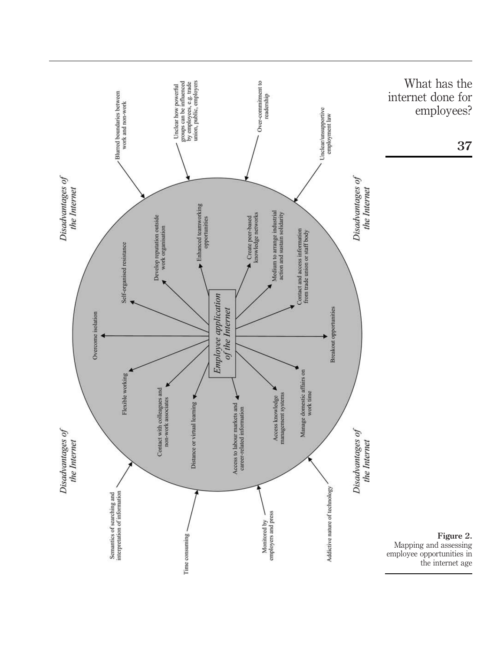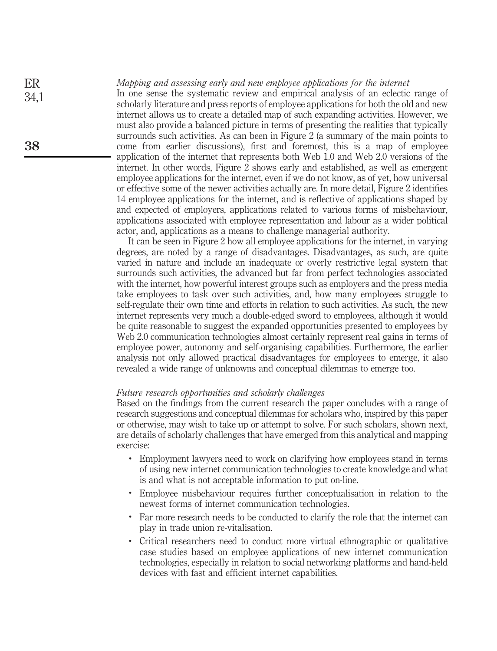Mapping and assessing early and new employee applications for the internet

In one sense the systematic review and empirical analysis of an eclectic range of scholarly literature and press reports of employee applications for both the old and new internet allows us to create a detailed map of such expanding activities. However, we must also provide a balanced picture in terms of presenting the realities that typically surrounds such activities. As can been in Figure 2 (a summary of the main points to come from earlier discussions), first and foremost, this is a map of employee application of the internet that represents both Web 1.0 and Web 2.0 versions of the internet. In other words, Figure 2 shows early and established, as well as emergent employee applications for the internet, even if we do not know, as of yet, how universal or effective some of the newer activities actually are. In more detail, Figure 2 identifies 14 employee applications for the internet, and is reflective of applications shaped by and expected of employers, applications related to various forms of misbehaviour, applications associated with employee representation and labour as a wider political actor, and, applications as a means to challenge managerial authority.

It can be seen in Figure 2 how all employee applications for the internet, in varying degrees, are noted by a range of disadvantages. Disadvantages, as such, are quite varied in nature and include an inadequate or overly restrictive legal system that surrounds such activities, the advanced but far from perfect technologies associated with the internet, how powerful interest groups such as employers and the press media take employees to task over such activities, and, how many employees struggle to self-regulate their own time and efforts in relation to such activities. As such, the new internet represents very much a double-edged sword to employees, although it would be quite reasonable to suggest the expanded opportunities presented to employees by Web 2.0 communication technologies almost certainly represent real gains in terms of employee power, autonomy and self-organising capabilities. Furthermore, the earlier analysis not only allowed practical disadvantages for employees to emerge, it also revealed a wide range of unknowns and conceptual dilemmas to emerge too.

# Future research opportunities and scholarly challenges

Based on the findings from the current research the paper concludes with a range of research suggestions and conceptual dilemmas for scholars who, inspired by this paper or otherwise, may wish to take up or attempt to solve. For such scholars, shown next, are details of scholarly challenges that have emerged from this analytical and mapping exercise:

- . Employment lawyers need to work on clarifying how employees stand in terms of using new internet communication technologies to create knowledge and what is and what is not acceptable information to put on-line.
- . Employee misbehaviour requires further conceptualisation in relation to the newest forms of internet communication technologies.
- . Far more research needs to be conducted to clarify the role that the internet can play in trade union re-vitalisation.
- . Critical researchers need to conduct more virtual ethnographic or qualitative case studies based on employee applications of new internet communication technologies, especially in relation to social networking platforms and hand-held devices with fast and efficient internet capabilities.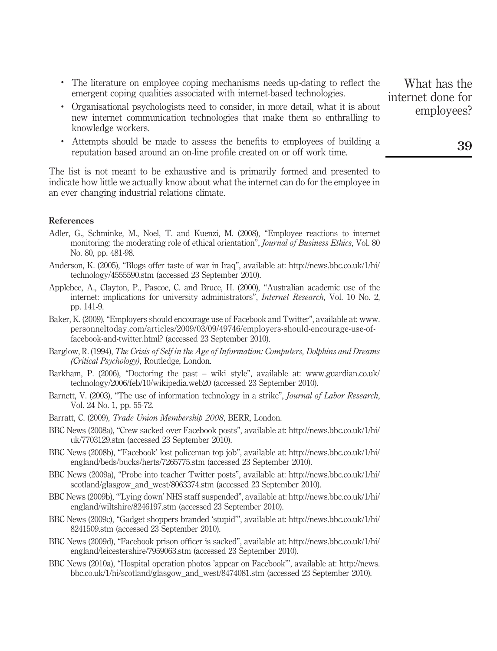- . The literature on employee coping mechanisms needs up-dating to reflect the emergent coping qualities associated with internet-based technologies.
- . Organisational psychologists need to consider, in more detail, what it is about new internet communication technologies that make them so enthralling to knowledge workers.
- . Attempts should be made to assess the benefits to employees of building a reputation based around an on-line profile created on or off work time.

The list is not meant to be exhaustive and is primarily formed and presented to indicate how little we actually know about what the internet can do for the employee in an ever changing industrial relations climate.

#### References

- Adler, G., Schminke, M., Noel, T. and Kuenzi, M. (2008), "Employee reactions to internet monitoring: the moderating role of ethical orientation", *Journal of Business Ethics*, Vol. 80 No. 80, pp. 481-98.
- Anderson, K. (2005), "Blogs offer taste of war in Iraq", available at: http://news.bbc.co.uk/1/hi/ technology/4555590.stm (accessed 23 September 2010).
- Applebee, A., Clayton, P., Pascoe, C. and Bruce, H. (2000), "Australian academic use of the internet: implications for university administrators", *Internet Research*, Vol. 10 No. 2, pp. 141-9.
- Baker, K. (2009), "Employers should encourage use of Facebook and Twitter", available at: www. personneltoday.com/articles/2009/03/09/49746/employers-should-encourage-use-offacebook-and-twitter.html? (accessed 23 September 2010).
- Barglow, R. (1994), The Crisis of Self in the Age of Information: Computers, Dolphins and Dreams (Critical Psychology), Routledge, London.
- Barkham, P. (2006), "Doctoring the past wiki style", available at: www.guardian.co.uk/ technology/2006/feb/10/wikipedia.web20 (accessed 23 September 2010).
- Barnett, V. (2003), "The use of information technology in a strike", Journal of Labor Research, Vol. 24 No. 1, pp. 55-72.
- Barratt, C. (2009), Trade Union Membership 2008, BERR, London.
- BBC News (2008a), "Crew sacked over Facebook posts", available at: http://news.bbc.co.uk/1/hi/ uk/7703129.stm (accessed 23 September 2010).
- BBC News (2008b), "'Facebook' lost policeman top job", available at: http://news.bbc.co.uk/1/hi/ england/beds/bucks/herts/7265775.stm (accessed 23 September 2010).
- BBC News (2009a), "Probe into teacher Twitter posts", available at: http://news.bbc.co.uk/1/hi/ scotland/glasgow\_and\_west/8063374.stm (accessed 23 September 2010).
- BBC News (2009b), "'Lying down' NHS staff suspended", available at: http://news.bbc.co.uk/1/hi/ england/wiltshire/8246197.stm (accessed 23 September 2010).
- BBC News (2009c), "Gadget shoppers branded 'stupid'", available at: http://news.bbc.co.uk/1/hi/ 8241509.stm (accessed 23 September 2010).
- BBC News (2009d), "Facebook prison officer is sacked", available at: http://news.bbc.co.uk/1/hi/ england/leicestershire/7959063.stm (accessed 23 September 2010).
- BBC News (2010a), "Hospital operation photos 'appear on Facebook'", available at: http://news. bbc.co.uk/1/hi/scotland/glasgow\_and\_west/8474081.stm (accessed 23 September 2010).

What has the internet done for employees?

39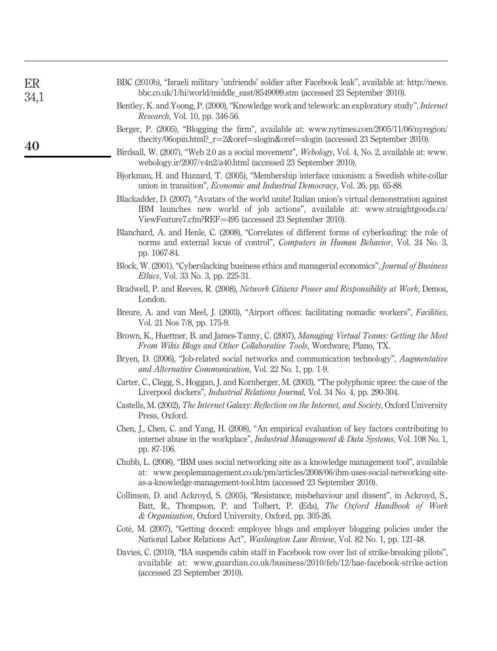| ER<br>34,1 | BBC (2010b), "Israeli military 'unfriends' soldier after Facebook leak", available at: http://news.<br>bbc.co.uk/1/hi/world/middle_east/8549099.stm (accessed 23 September 2010).                                                                        |
|------------|----------------------------------------------------------------------------------------------------------------------------------------------------------------------------------------------------------------------------------------------------------|
|            | Bentley, K. and Yoong, P. (2000), "Knowledge work and telework: an exploratory study", Internet<br><i>Research</i> , Vol. 10, pp. 346-56.                                                                                                                |
|            | Berger, P. (2005), "Blogging the firm", available at: www.nytimes.com/2005/11/06/nyregion/<br>thecity/06opin.html?_r=2&oref=slogin&oref=slogin (accessed 23 September 2010).                                                                             |
| 40         | Birdsall, W. (2007), "Web 2.0 as a social movement", Webology, Vol. 4, No. 2, available at: www.<br>webology.ir/2007/v4n2/a40.html (accessed 23 September 2010).                                                                                         |
|            | Bjorkman, H. and Huzzard, T. (2005), "Membership interface unionism: a Swedish white-collar<br>union in transition", <i>Economic and Industrial Democracy</i> , Vol. 26, pp. 65-88.                                                                      |
|            | Blackadder, D. (2007), "Avatars of the world unite! Italian union's virtual demonstration against<br>IBM launches new world of job actions", available at: www.straightgoods.ca/<br>ViewFeature7.cfm?REF=495 (accessed 23 September 2010).               |
|            | Blanchard, A. and Henle, C. (2008), "Correlates of different forms of cyberloafing: the role of<br>norms and external locus of control", Computers in Human Behavior, Vol. 24 No. 3,<br>pp. 1067-84.                                                     |
|            | Block, W. (2001), "Cyberslacking business ethics and managerial economics", Journal of Business<br><i>Ethics</i> , Vol. 33 No. 3, pp. 225-31.                                                                                                            |
|            | Bradwell, P. and Reeves, R. (2008), Network Citizens Power and Responsibility at Work, Demos,<br>London.                                                                                                                                                 |
|            | Breure, A. and van Meel, J. (2003), "Airport offices: facilitating nomadic workers", Facilities,<br>Vol. 21 Nos 7/8, pp. 175-9.                                                                                                                          |
|            | Brown, K., Huettner, B. and James-Tanny, C. (2007), Managing Virtual Teams: Getting the Most<br>From Wikis Blogs and Other Collaborative Tools, Wordware, Plano, TX.                                                                                     |
|            | Bryen, D. (2006), "Job-related social networks and communication technology", Augmentative<br>and Alternative Communication, Vol. 22 No. 1, pp. 1-9.                                                                                                     |
|            | Carter, C., Clegg, S., Hoggan, J. and Kornberger, M. (2003), "The polyphonic spree: the case of the<br>Liverpool dockers", Industrial Relations Journal, Vol. 34 No. 4, pp. 290-304.                                                                     |
|            | Castells, M. (2002), The Internet Galaxy: Reflection on the Internet, and Society, Oxford University<br>Press, Oxford.                                                                                                                                   |
|            | Chen, J., Chen, C. and Yang, H. (2008), "An empirical evaluation of key factors contributing to<br>internet abuse in the workplace", <i>Industrial Management &amp; Data Systems</i> , Vol. 108 No. 1,<br>pp. 87-106.                                    |
|            | Chubb, L. (2008), "IBM uses social networking site as a knowledge management tool", available<br>at: www.peoplemanagement.co.uk/pm/articles/2008/06/ibm-uses-social-networking-site-<br>as-a-knowledge-management-tool.htm (accessed 23 September 2010). |
|            | Collinson, D. and Ackroyd, S. (2005), "Resistance, misbehaviour and dissent", in Ackroyd, S.,<br>Batt, R., Thompson, P. and Tolbert, P. (Eds), The Oxford Handbook of Work<br>& Organization, Oxford University, Oxford, pp. 305-26.                     |
|            | Coté, M. (2007), "Getting dooced: employee blogs and employer blogging policies under the<br>National Labor Relations Act", <i>Washington Law Review</i> , Vol. 82 No. 1, pp. 121-48.                                                                    |
|            | Davies, C. (2010), "BA suspends cabin staff in Facebook row over list of strike-breaking pilots",<br>available at: www.guardian.co.uk/business/2010/feb/12/bae-facebook-strike-action<br>(accessed 23 September 2010).                                   |
|            |                                                                                                                                                                                                                                                          |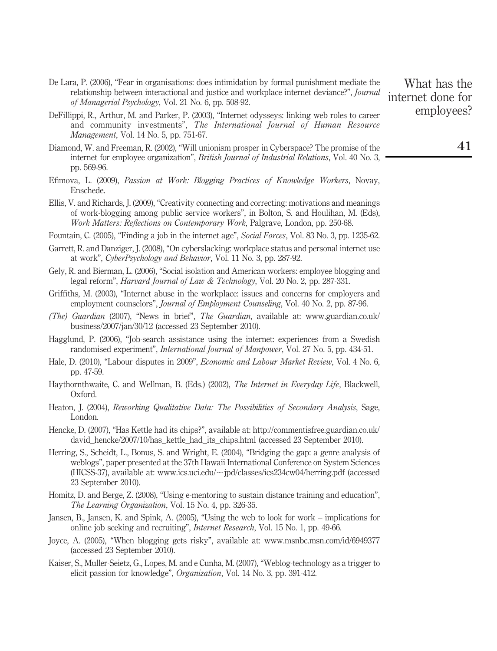- De Lara, P. (2006), "Fear in organisations: does intimidation by formal punishment mediate the relationship between interactional and justice and workplace internet deviance?", Journal of Managerial Psychology, Vol. 21 No. 6, pp. 508-92.
- DeFillippi, R., Arthur, M. and Parker, P. (2003), "Internet odysseys: linking web roles to career and community investments", The International Journal of Human Resource Management, Vol. 14 No. 5, pp. 751-67.
- Diamond, W. and Freeman, R. (2002), "Will unionism prosper in Cyberspace? The promise of the internet for employee organization", British Journal of Industrial Relations, Vol. 40 No. 3, pp. 569-96.
- Efimova, L. (2009), Passion at Work: Blogging Practices of Knowledge Workers, Novay, Enschede.
- Ellis, V. and Richards, J. (2009), "Creativity connecting and correcting: motivations and meanings of work-blogging among public service workers", in Bolton, S. and Houlihan, M. (Eds), Work Matters: Reflections on Contemporary Work, Palgrave, London, pp. 250-68.
- Fountain, C. (2005), "Finding a job in the internet age", Social Forces, Vol. 83 No. 3, pp. 1235-62.
- Garrett, R. and Danziger, J. (2008), "On cyberslacking: workplace status and personal internet use at work", CyberPsychology and Behavior, Vol. 11 No. 3, pp. 287-92.
- Gely, R. and Bierman, L. (2006), "Social isolation and American workers: employee blogging and legal reform", Harvard Journal of Law & Technology, Vol. 20 No. 2, pp. 287-331.
- Griffiths, M. (2003), "Internet abuse in the workplace: issues and concerns for employers and employment counselors", Journal of Employment Counseling, Vol. 40 No. 2, pp. 87-96.
- (The) Guardian (2007), "News in brief", The Guardian, available at: www.guardian.co.uk/ business/2007/jan/30/12 (accessed 23 September 2010).
- Hagglund, P. (2006), "Job-search assistance using the internet: experiences from a Swedish randomised experiment", International Journal of Manpower, Vol. 27 No. 5, pp. 434-51.
- Hale, D. (2010), "Labour disputes in 2009", Economic and Labour Market Review, Vol. 4 No. 6, pp. 47-59.
- Haythornthwaite, C. and Wellman, B. (Eds.) (2002), The Internet in Everyday Life, Blackwell, Oxford.
- Heaton, J. (2004), Reworking Qualitative Data: The Possibilities of Secondary Analysis, Sage, London.
- Hencke, D. (2007), "Has Kettle had its chips?", available at: http://commentisfree.guardian.co.uk/ david\_hencke/2007/10/has\_kettle\_had\_its\_chips.html (accessed 23 September 2010).
- Herring, S., Scheidt, L., Bonus, S. and Wright, E. (2004), "Bridging the gap: a genre analysis of weblogs", paper presented at the 37th Hawaii International Conference on System Sciences (HICSS-37), available at: www.ics.uci.edu/*,*jpd/classes/ics234cw04/herring.pdf (accessed 23 September 2010).
- Homitz, D. and Berge, Z. (2008), "Using e-mentoring to sustain distance training and education", The Learning Organization, Vol. 15 No. 4, pp. 326-35.
- Jansen, B., Jansen, K. and Spink, A. (2005), "Using the web to look for work implications for online job seeking and recruiting", Internet Research, Vol. 15 No. 1, pp. 49-66.
- Joyce, A. (2005), "When blogging gets risky", available at: www.msnbc.msn.com/id/6949377 (accessed 23 September 2010).
- Kaiser, S., Muller-Seietz, G., Lopes, M. and e Cunha, M. (2007), "Weblog-technology as a trigger to elicit passion for knowledge", Organization, Vol. 14 No. 3, pp. 391-412.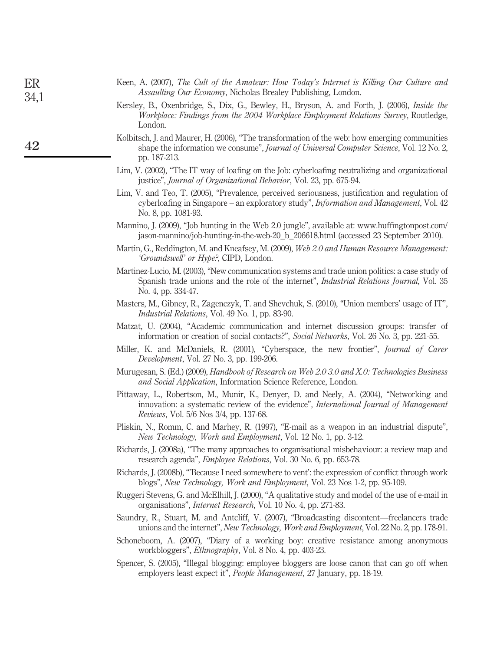| ER<br>34,1 | Keen, A. (2007), The Cult of the Amateur: How Today's Internet is Killing Our Culture and<br>Assaulting Our Economy, Nicholas Brealey Publishing, London.                                                                   |
|------------|-----------------------------------------------------------------------------------------------------------------------------------------------------------------------------------------------------------------------------|
|            | Kersley, B., Oxenbridge, S., Dix, G., Bewley, H., Bryson, A. and Forth, J. (2006), <i>Inside the</i><br>Workplace: Findings from the 2004 Workplace Employment Relations Survey, Routledge,<br>London.                      |
| 42         | Kolbitsch, J. and Maurer, H. (2006), "The transformation of the web: how emerging communities<br>shape the information we consume", <i>Journal of Universal Computer Science</i> , Vol. 12 No. 2,<br>pp. 187-213.           |
|            | Lim, V. (2002), "The IT way of loafing on the Job: cyberloafing neutralizing and organizational<br>justice", Journal of Organizational Behavior, Vol. 23, pp. 675-94.                                                       |
|            | Lim, V. and Teo, T. (2005), "Prevalence, perceived seriousness, justification and regulation of<br>cyberloafing in Singapore – an exploratory study", <i>Information and Management</i> , Vol. 42<br>No. 8, pp. 1081-93.    |
|            | Mannino, J. (2009), "Job hunting in the Web 2.0 jungle", available at: www.huffingtonpost.com/<br>jason-mannino/job-hunting-in-the-web-20_b_206618.html (accessed 23 September 2010).                                       |
|            | Martin, G., Reddington, M. and Kneafsey, M. (2009), Web 2.0 and Human Resource Management:<br>'Groundswell' or Hype?, CIPD, London.                                                                                         |
|            | Martinez-Lucio, M. (2003), "New communication systems and trade union politics: a case study of<br>Spanish trade unions and the role of the internet", <i>Industrial Relations Journal</i> , Vol. 35<br>No. 4, pp. 334-47.  |
|            | Masters, M., Gibney, R., Zagenczyk, T. and Shevchuk, S. (2010), "Union members' usage of IT",<br><i>Industrial Relations, Vol. 49 No. 1, pp. 83-90.</i>                                                                     |
|            | Matzat, U. (2004), "Academic communication and internet discussion groups: transfer of<br>information or creation of social contacts?", Social Networks, Vol. 26 No. 3, pp. 221-55.                                         |
|            | Miller, K. and McDaniels, R. (2001), "Cyberspace, the new frontier", Journal of Carer<br><i>Development</i> , Vol. 27 No. 3, pp. 199-206.                                                                                   |
|            | Murugesan, S. (Ed.) (2009), Handbook of Research on Web 2.0 3.0 and X.0: Technologies Business<br>and Social Application, Information Science Reference, London.                                                            |
|            | Pittaway, L., Robertson, M., Munir, K., Denyer, D. and Neely, A. (2004), "Networking and<br>innovation: a systematic review of the evidence", International Journal of Management<br>Reviews, Vol. 5/6 Nos 3/4, pp. 137-68. |
|            | Pliskin, N., Romm, C. and Marhey, R. (1997), "E-mail as a weapon in an industrial dispute",<br>New Technology, Work and Employment, Vol. 12 No. 1, pp. 3-12.                                                                |
|            | Richards, J. (2008a), "The many approaches to organisational misbehaviour: a review map and<br>research agenda", <i>Employee Relations</i> , Vol. 30 No. 6, pp. 653-78.                                                     |
|            | Richards, J. (2008b), "Because I need somewhere to vent': the expression of conflict through work<br>blogs", New Technology, Work and Employment, Vol. 23 Nos 1-2, pp. 95-109.                                              |
|            | Ruggeri Stevens, G. and McElhill, J. (2000), "A qualitative study and model of the use of e-mail in<br>organisations", Internet Research, Vol. 10 No. 4, pp. 271-83.                                                        |
|            | Saundry, R., Stuart, M. and Antcliff, V. (2007), "Broadcasting discontent—freelancers trade<br>unions and the internet", New Technology, Work and Employment, Vol. 22 No. 2, pp. 178-91.                                    |
|            | Schoneboom, A. (2007), "Diary of a working boy: creative resistance among anonymous<br>workbloggers", <i>Ethnography</i> , Vol. 8 No. 4, pp. 403-23.                                                                        |
|            | Spencer, S. (2005), "Illegal blogging: employee bloggers are loose canon that can go off when<br>employers least expect it", <i>People Management</i> , 27 January, pp. 18-19.                                              |
|            |                                                                                                                                                                                                                             |